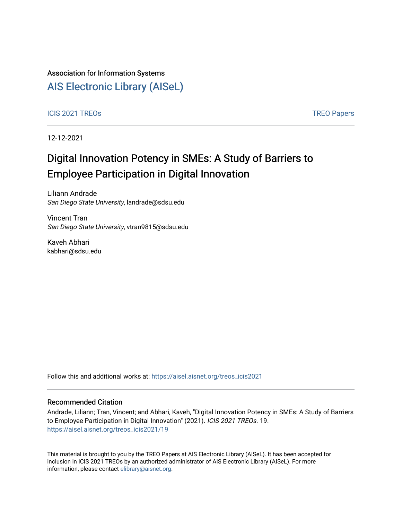### Association for Information Systems

## [AIS Electronic Library \(AISeL\)](https://aisel.aisnet.org/)

### ICIS 2021 TREOS Notes that the contract of the contract of the contract of the contract of the contract of the contract of the contract of the contract of the contract of the contract of the contract of the contract of the

12-12-2021

# Digital Innovation Potency in SMEs: A Study of Barriers to Employee Participation in Digital Innovation

Liliann Andrade San Diego State University, landrade@sdsu.edu

Vincent Tran San Diego State University, vtran9815@sdsu.edu

Kaveh Abhari kabhari@sdsu.edu

Follow this and additional works at: [https://aisel.aisnet.org/treos\\_icis2021](https://aisel.aisnet.org/treos_icis2021?utm_source=aisel.aisnet.org%2Ftreos_icis2021%2F19&utm_medium=PDF&utm_campaign=PDFCoverPages) 

### Recommended Citation

Andrade, Liliann; Tran, Vincent; and Abhari, Kaveh, "Digital Innovation Potency in SMEs: A Study of Barriers to Employee Participation in Digital Innovation" (2021). ICIS 2021 TREOs. 19. [https://aisel.aisnet.org/treos\\_icis2021/19](https://aisel.aisnet.org/treos_icis2021/19?utm_source=aisel.aisnet.org%2Ftreos_icis2021%2F19&utm_medium=PDF&utm_campaign=PDFCoverPages) 

This material is brought to you by the TREO Papers at AIS Electronic Library (AISeL). It has been accepted for inclusion in ICIS 2021 TREOs by an authorized administrator of AIS Electronic Library (AISeL). For more information, please contact [elibrary@aisnet.org.](mailto:elibrary@aisnet.org%3E)